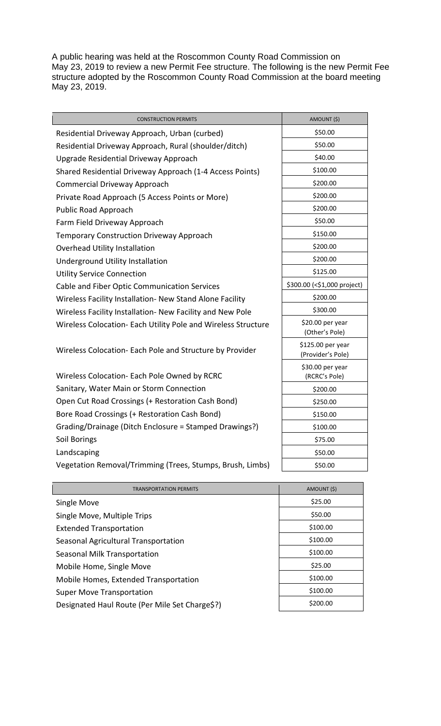A public hearing was held at the Roscommon County Road Commission on May 23, 2019 to review a new Permit Fee structure. The following is the new Permit Fee structure adopted by the Roscommon County Road Commission at the board meeting May 23, 2019.

| <b>CONSTRUCTION PERMITS</b>                                   | AMOUNT (\$)                            |
|---------------------------------------------------------------|----------------------------------------|
| Residential Driveway Approach, Urban (curbed)                 | \$50.00                                |
| Residential Driveway Approach, Rural (shoulder/ditch)         | \$50.00                                |
| Upgrade Residential Driveway Approach                         | \$40.00                                |
| Shared Residential Driveway Approach (1-4 Access Points)      | \$100.00                               |
| <b>Commercial Driveway Approach</b>                           | \$200.00                               |
| Private Road Approach (5 Access Points or More)               | \$200.00                               |
| Public Road Approach                                          | \$200.00                               |
| Farm Field Driveway Approach                                  | \$50.00                                |
| <b>Temporary Construction Driveway Approach</b>               | \$150.00                               |
| Overhead Utility Installation                                 | \$200.00                               |
| Underground Utility Installation                              | \$200.00                               |
| <b>Utility Service Connection</b>                             | \$125.00                               |
| Cable and Fiber Optic Communication Services                  | \$300.00 (<\$1,000 project)            |
| Wireless Facility Installation- New Stand Alone Facility      | \$200.00                               |
| Wireless Facility Installation- New Facility and New Pole     | \$300.00                               |
| Wireless Colocation- Each Utility Pole and Wireless Structure | \$20.00 per year<br>(Other's Pole)     |
| Wireless Colocation- Each Pole and Structure by Provider      | \$125.00 per year<br>(Provider's Pole) |
| Wireless Colocation- Each Pole Owned by RCRC                  | \$30.00 per year<br>(RCRC's Pole)      |
| Sanitary, Water Main or Storm Connection                      | \$200.00                               |
| Open Cut Road Crossings (+ Restoration Cash Bond)             | \$250.00                               |
| Bore Road Crossings (+ Restoration Cash Bond)                 | \$150.00                               |
| Grading/Drainage (Ditch Enclosure = Stamped Drawings?)        | \$100.00                               |
| Soil Borings                                                  | \$75.00                                |
| Landscaping                                                   | \$50.00                                |
| Vegetation Removal/Trimming (Trees, Stumps, Brush, Limbs)     | \$50.00                                |
|                                                               |                                        |

| <b>TRANSPORTATION PERMITS</b>                  | AMOUNT (\$) |
|------------------------------------------------|-------------|
| Single Move                                    | \$25.00     |
| Single Move, Multiple Trips                    | \$50.00     |
| <b>Extended Transportation</b>                 | \$100.00    |
| Seasonal Agricultural Transportation           | \$100.00    |
| Seasonal Milk Transportation                   | \$100.00    |
| Mobile Home, Single Move                       | \$25.00     |
| Mobile Homes, Extended Transportation          | \$100.00    |
| <b>Super Move Transportation</b>               | \$100.00    |
| Designated Haul Route (Per Mile Set Charge\$?) | \$200.00    |